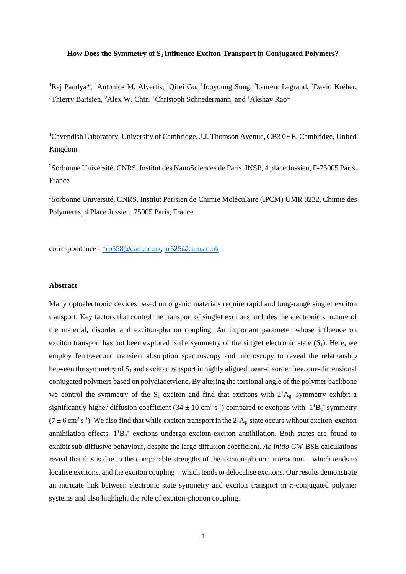#### **How Does the Symmetry of S<sup>1</sup> Influence Exciton Transport in Conjugated Polymers?**

<sup>1</sup>Raj Pandya\*, <sup>1</sup>Antonios M. Alvertis, <sup>1</sup>Qifei Gu, <sup>1</sup>Jooyoung Sung, <sup>2</sup>Laurent Legrand, <sup>3</sup>David Kréher, <sup>2</sup>Thierry Barisien, <sup>2</sup>Alex W. Chin, <sup>1</sup>Christoph Schnedermann, and <sup>1</sup>Akshay Rao\*

<sup>1</sup>Cavendish Laboratory, University of Cambridge, J.J. Thomson Avenue, CB3 0HE, Cambridge, United Kingdom

<sup>2</sup>Sorbonne Université, CNRS, Institut des NanoSciences de Paris, INSP, 4 place Jussieu, F-75005 Paris, France

<sup>3</sup>Sorbonne Université, CNRS, Institut Parisien de Chimie Moléculaire (IPCM) UMR 8232, Chimie des Polymères, 4 Place Jussieu, 75005 Paris, France

correspondance [: \\*rp558@cam.ac.uk,](mailto:*rp558@cam.ac.uk) [ar525@cam.ac.uk](mailto:ar525@cam.ac.uk)

#### **Abstract**

Many optoelectronic devices based on organic materials require rapid and long-range singlet exciton transport. Key factors that control the transport of singlet excitons includes the electronic structure of the material, disorder and exciton-phonon coupling. An important parameter whose influence on exciton transport has not been explored is the symmetry of the singlet electronic state  $(S_1)$ . Here, we employ femtosecond transient absorption spectroscopy and microscopy to reveal the relationship between the symmetry of  $S_1$  and exciton transport in highly aligned, near-disorder free, one-dimensional conjugated polymers based on polydiacetylene. By altering the torsional angle of the polymer backbone we control the symmetry of the  $S_1$  exciton and find that excitons with  $2^1A_g$  symmetry exhibit a significantly higher diffusion coefficient (34  $\pm$  10 cm<sup>2</sup> s<sup>-1</sup>) compared to excitons with  $1^1B_u^+$  symmetry  $(7 \pm 6 \text{ cm}^2 \text{ s}^{-1})$ . We also find that while exciton transport in the  $2^1$ A<sub>g</sub> state occurs without exciton-exciton annihilation effects,  $1^1B_u^+$  excitons undergo exciton-exciton annihilation. Both states are found to exhibit sub-diffusive behaviour, despite the large diffusion coefficient. *Ab initio GW*-BSE calculations reveal that this is due to the comparable strengths of the exciton-phonon interaction – which tends to localise excitons, and the exciton coupling – which tends to delocalise excitons. Our results demonstrate an intricate link between electronic state symmetry and exciton transport in  $\pi$ -conjugated polymer systems and also highlight the role of exciton-phonon coupling.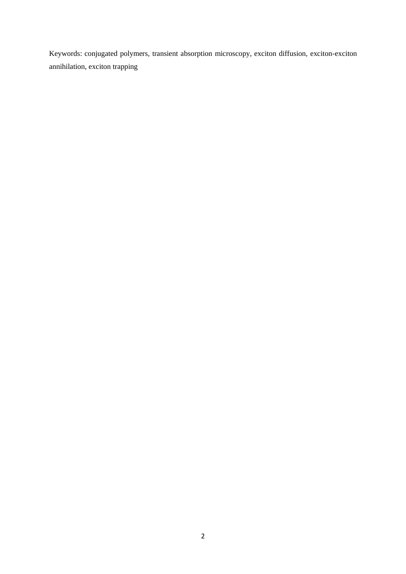Keywords: conjugated polymers, transient absorption microscopy, exciton diffusion, exciton-exciton annihilation, exciton trapping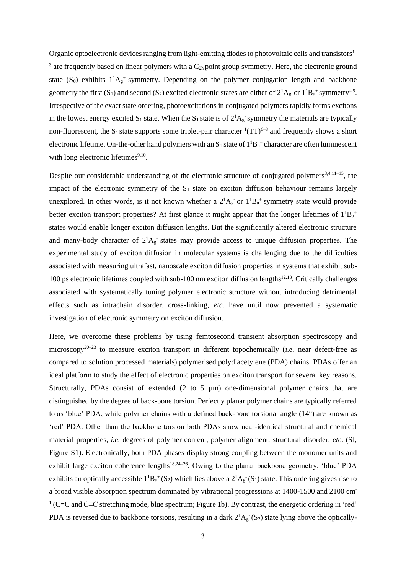Organic optoelectronic devices ranging from light-emitting diodes to photovoltaic cells and transistors<sup>1–</sup> <sup>3</sup> are frequently based on linear polymers with a  $C_{2h}$  point group symmetry. Here, the electronic ground state (S<sub>0</sub>) exhibits  $1^1A_g$ <sup>+</sup> symmetry. Depending on the polymer conjugation length and backbone geometry the first (S<sub>1</sub>) and second (S<sub>2</sub>) excited electronic states are either of  $2^1A_g$  or  $1^1B_u$ <sup>+</sup> symmetry<sup>4,5</sup>. Irrespective of the exact state ordering, photoexcitations in conjugated polymers rapidly forms excitons in the lowest energy excited  $S_1$  state. When the  $S_1$  state is of  $2^1A_g$  symmetry the materials are typically non-fluorescent, the S<sub>1</sub> state supports some triplet-pair character  $(TT)^{6-8}$  and frequently shows a short electronic lifetime. On-the-other hand polymers with an  $S_1$  state of  $1^1B_u^+$  character are often luminescent with long electronic lifetimes<sup>9,10</sup>.

Despite our considerable understanding of the electronic structure of conjugated polymers<sup>3,4,11–15</sup>, the impact of the electronic symmetry of the  $S_1$  state on exciton diffusion behaviour remains largely unexplored. In other words, is it not known whether a  $2^1A_g$  or  $1^1B_u$ <sup>+</sup> symmetry state would provide better exciton transport properties? At first glance it might appear that the longer lifetimes of  $1^1B_u$ <sup>+</sup> states would enable longer exciton diffusion lengths. But the significantly altered electronic structure and many-body character of  $2^1A_g$  states may provide access to unique diffusion properties. The experimental study of exciton diffusion in molecular systems is challenging due to the difficulties associated with measuring ultrafast, nanoscale exciton diffusion properties in systems that exhibit sub-100 ps electronic lifetimes coupled with sub-100 nm exciton diffusion lengths<sup>12,13</sup>. Critically challenges associated with systematically tuning polymer electronic structure without introducing detrimental effects such as intrachain disorder, cross-linking, *etc*. have until now prevented a systematic investigation of electronic symmetry on exciton diffusion.

Here, we overcome these problems by using femtosecond transient absorption spectroscopy and microscopy20–23 to measure exciton transport in different topochemically (*i.e.* near defect-free as compared to solution processed materials) polymerised polydiacetylene (PDA) chains. PDAs offer an ideal platform to study the effect of electronic properties on exciton transport for several key reasons. Structurally, PDAs consist of extended (2 to 5 µm) one-dimensional polymer chains that are distinguished by the degree of back-bone torsion. Perfectly planar polymer chains are typically referred to as 'blue' PDA, while polymer chains with a defined back-bone torsional angle (14°) are known as 'red' PDA. Other than the backbone torsion both PDAs show near-identical structural and chemical material properties, *i.e.* degrees of polymer content, polymer alignment, structural disorder, *etc*. (SI, Figure S1). Electronically, both PDA phases display strong coupling between the monomer units and exhibit large exciton coherence lengths<sup>18,24-26</sup>. Owing to the planar backbone geometry, 'blue' PDA exhibits an optically accessible  $1^1B_u^+(S_2)$  which lies above a  $2^1A_g^-(S_1)$  state. This ordering gives rise to a broad visible absorption spectrum dominated by vibrational progressions at 1400-1500 and 2100 cm-1 (C=C and C≡C stretching mode, blue spectrum; Figure 1b). By contrast, the energetic ordering in 'red' PDA is reversed due to backbone torsions, resulting in a dark  $2^1A_g(S_2)$  state lying above the optically-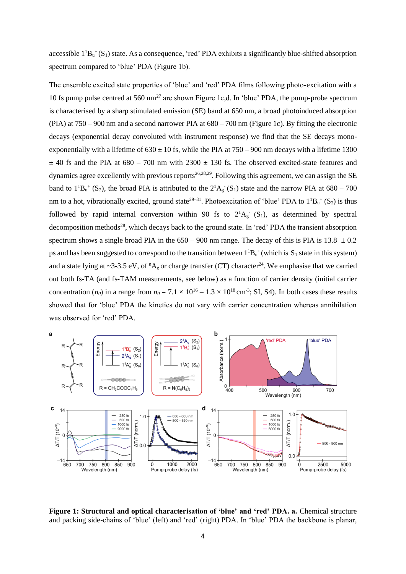accessible  $1^1B_u^+(S_1)$  state. As a consequence, 'red' PDA exhibits a significantly blue-shifted absorption spectrum compared to 'blue' PDA (Figure 1b).

The ensemble excited state properties of 'blue' and 'red' PDA films following photo-excitation with a 10 fs pump pulse centred at 560 nm<sup>27</sup> are shown Figure 1c,d. In 'blue' PDA, the pump-probe spectrum is characterised by a sharp stimulated emission (SE) band at 650 nm, a broad photoinduced absorption (PIA) at 750 – 900 nm and a second narrower PIA at 680 – 700 nm (Figure 1c). By fitting the electronic decays (exponential decay convoluted with instrument response) we find that the SE decays monoexponentially with a lifetime of  $630 \pm 10$  fs, while the PIA at  $750 - 900$  nm decays with a lifetime 1300  $\pm$  40 fs and the PIA at 680 – 700 nm with 2300  $\pm$  130 fs. The observed excited-state features and dynamics agree excellently with previous reports<sup>26,28,29</sup>. Following this agreement, we can assign the SE band to  $1^1B_u^+$  (S<sub>2</sub>), the broad PIA is attributed to the  $2^1A_g^-(S_1)$  state and the narrow PIA at 680 – 700 nm to a hot, vibrationally excited, ground state<sup>29–31</sup>. Photoexcitation of 'blue' PDA to  $1^1B_u^+(S_2)$  is thus followed by rapid internal conversion within 90 fs to  $2^1A_g$  (S<sub>1</sub>), as determined by spectral decomposition methods<sup>28</sup>, which decays back to the ground state. In 'red' PDA the transient absorption spectrum shows a single broad PIA in the  $650 - 900$  nm range. The decay of this is PIA is 13.8  $\pm 0.2$ ps and has been suggested to correspond to the transition between  $1^1B_u^+$  (which is  $S_1$  state in this system) and a state lying at ~3-3.5 eV, of  ${}^n{\rm A}_g$  or charge transfer (CT) character<sup>24</sup>. We emphasise that we carried out both fs-TA (and fs-TAM measurements, see below) as a function of carrier density (initial carrier concentration (*n*<sub>0</sub>) in a range from  $n_0 = 7.1 \times 10^{16} - 1.3 \times 10^{18}$  cm<sup>-3</sup>; SI, S4). In both cases these results showed that for 'blue' PDA the kinetics do not vary with carrier concentration whereas annihilation was observed for 'red' PDA.



**Figure 1: Structural and optical characterisation of 'blue' and 'red' PDA. a.** Chemical structure and packing side-chains of 'blue' (left) and 'red' (right) PDA. In 'blue' PDA the backbone is planar,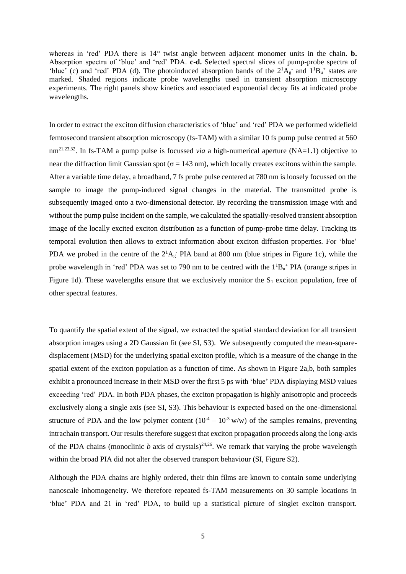whereas in 'red' PDA there is 14° twist angle between adjacent monomer units in the chain. **b.** Absorption spectra of 'blue' and 'red' PDA. **c-d.** Selected spectral slices of pump-probe spectra of 'blue' (c) and 'red' PDA (d). The photoinduced absorption bands of the  $2^1A_g$  and  $1^1B_u$  states are marked. Shaded regions indicate probe wavelengths used in transient absorption microscopy experiments. The right panels show kinetics and associated exponential decay fits at indicated probe wavelengths.

In order to extract the exciton diffusion characteristics of 'blue' and 'red' PDA we performed widefield femtosecond transient absorption microscopy (fs-TAM) with a similar 10 fs pump pulse centred at 560 nm<sup>21,23,32</sup>. In fs-TAM a pump pulse is focussed *via* a high-numerical aperture (NA=1.1) objective to near the diffraction limit Gaussian spot ( $\sigma = 143$  nm), which locally creates excitons within the sample. After a variable time delay, a broadband, 7 fs probe pulse centered at 780 nm is loosely focussed on the sample to image the pump-induced signal changes in the material. The transmitted probe is subsequently imaged onto a two-dimensional detector. By recording the transmission image with and without the pump pulse incident on the sample, we calculated the spatially-resolved transient absorption image of the locally excited exciton distribution as a function of pump-probe time delay. Tracking its temporal evolution then allows to extract information about exciton diffusion properties. For 'blue' PDA we probed in the centre of the  $2<sup>1</sup>A<sub>g</sub>$  PIA band at 800 nm (blue stripes in Figure 1c), while the probe wavelength in 'red' PDA was set to 790 nm to be centred with the  $1^1B_u^+$  PIA (orange stripes in Figure 1d). These wavelengths ensure that we exclusively monitor the  $S_1$  exciton population, free of other spectral features.

To quantify the spatial extent of the signal, we extracted the spatial standard deviation for all transient absorption images using a 2D Gaussian fit (see SI, S3). We subsequently computed the mean-squaredisplacement (MSD) for the underlying spatial exciton profile, which is a measure of the change in the spatial extent of the exciton population as a function of time. As shown in Figure 2a,b, both samples exhibit a pronounced increase in their MSD over the first 5 ps with 'blue' PDA displaying MSD values exceeding 'red' PDA. In both PDA phases, the exciton propagation is highly anisotropic and proceeds exclusively along a single axis (see SI, S3). This behaviour is expected based on the one-dimensional structure of PDA and the low polymer content  $(10^{-4} – 10^{-3} w/w)$  of the samples remains, preventing intrachain transport. Our results therefore suggest that exciton propagation proceeds along the long-axis of the PDA chains (monoclinic  $b$  axis of crystals)<sup>24,26</sup>. We remark that varying the probe wavelength within the broad PIA did not alter the observed transport behaviour (SI, Figure S2).

Although the PDA chains are highly ordered, their thin films are known to contain some underlying nanoscale inhomogeneity. We therefore repeated fs-TAM measurements on 30 sample locations in 'blue' PDA and 21 in 'red' PDA, to build up a statistical picture of singlet exciton transport.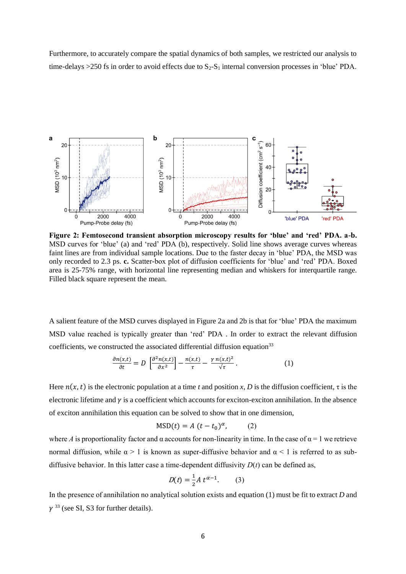Furthermore, to accurately compare the spatial dynamics of both samples, we restricted our analysis to time-delays  $>250$  fs in order to avoid effects due to  $S_2-S_1$  internal conversion processes in 'blue' PDA.



**Figure 2: Femtosecond transient absorption microscopy results for 'blue' and 'red' PDA. a-b.** MSD curves for 'blue' (a) and 'red' PDA (b), respectively. Solid line shows average curves whereas faint lines are from individual sample locations. Due to the faster decay in 'blue' PDA, the MSD was only recorded to 2.3 ps. **c.** Scatter-box plot of diffusion coefficients for 'blue' and 'red' PDA. Boxed area is 25-75% range, with horizontal line representing median and whiskers for interquartile range. Filled black square represent the mean.

A salient feature of the MSD curves displayed in Figure 2a and 2b is that for 'blue' PDA the maximum MSD value reached is typically greater than 'red' PDA . In order to extract the relevant diffusion coefficients, we constructed the associated differential diffusion equation<sup>33</sup>

$$
\frac{\partial n(x,t)}{\partial t} = D \left[ \frac{\partial^2 n(x,t)}{\partial x^2} \right] - \frac{n(x,t)}{\tau} - \frac{\gamma n(x,t)^2}{\sqrt{\tau}}.
$$
 (1)

Here  $n(x, t)$  is the electronic population at a time *t* and position *x*, *D* is the diffusion coefficient,  $\tau$  is the electronic lifetime and  $\gamma$  is a coefficient which accounts for exciton-exciton annihilation. In the absence of exciton annihilation this equation can be solved to show that in one dimension,

$$
MSD(t) = A (t - t_0)^{\alpha}, \qquad (2)
$$

where *A* is proportionality factor and  $\alpha$  accounts for non-linearity in time. In the case of  $\alpha = 1$  we retrieve normal diffusion, while  $\alpha > 1$  is known as super-diffusive behavior and  $\alpha < 1$  is referred to as subdiffusive behavior. In this latter case a time-dependent diffusivity  $D(t)$  can be defined as,

$$
D(t) = \frac{1}{2} A t^{\alpha - 1}.
$$
 (3)

In the presence of annihilation no analytical solution exists and equation (1) must be fit to extract *D* and  $\gamma$ <sup>33</sup> (see SI, S3 for further details).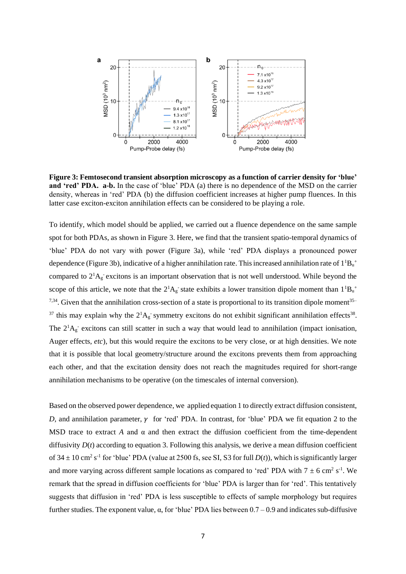

**Figure 3: Femtosecond transient absorption microscopy as a function of carrier density for 'blue' and 'red' PDA. a-b.** In the case of 'blue' PDA (a) there is no dependence of the MSD on the carrier density, whereas in 'red' PDA (b) the diffusion coefficient increases at higher pump fluences. In this latter case exciton-exciton annihilation effects can be considered to be playing a role.

To identify, which model should be applied, we carried out a fluence dependence on the same sample spot for both PDAs, as shown in Figure 3. Here, we find that the transient spatio-temporal dynamics of 'blue' PDA do not vary with power (Figure 3a), while 'red' PDA displays a pronounced power dependence (Figure 3b), indicative of a higher annihilation rate. This increased annihilation rate of  $1^1B_u^+$ compared to  $2^1A_g$  excitons is an important observation that is not well understood. While beyond the scope of this article, we note that the  $2^1A_g$  state exhibits a lower transition dipole moment than  $1^1B_u^+$  $7,34$ . Given that the annihilation cross-section of a state is proportional to its transition dipole moment<sup>35–</sup> <sup>37</sup> this may explain why the  $2^1A_g$  symmetry excitons do not exhibit significant annihilation effects<sup>38</sup>. The  $2^1A_g$  excitons can still scatter in such a way that would lead to annihilation (impact ionisation, Auger effects, *etc*), but this would require the excitons to be very close, or at high densities. We note that it is possible that local geometry/structure around the excitons prevents them from approaching each other, and that the excitation density does not reach the magnitudes required for short-range annihilation mechanisms to be operative (on the timescales of internal conversion).

Based on the observed power dependence, we applied equation 1 to directly extract diffusion consistent, *D*, and annihilation parameter,  $\gamma$  for 'red' PDA. In contrast, for 'blue' PDA we fit equation 2 to the MSD trace to extract *A* and  $\alpha$  and then extract the diffusion coefficient from the time-dependent diffusivity  $D(t)$  according to equation 3. Following this analysis, we derive a mean diffusion coefficient of  $34 \pm 10$  cm<sup>2</sup> s<sup>-1</sup> for 'blue' PDA (value at 2500 fs, see SI, S3 for full *D(t)*), which is significantly larger and more varying across different sample locations as compared to 'red' PDA with  $7 \pm 6$  cm<sup>2</sup> s<sup>-1</sup>. We remark that the spread in diffusion coefficients for 'blue' PDA is larger than for 'red'. This tentatively suggests that diffusion in 'red' PDA is less susceptible to effects of sample morphology but requires further studies. The exponent value,  $\alpha$ , for 'blue' PDA lies between  $0.7 - 0.9$  and indicates sub-diffusive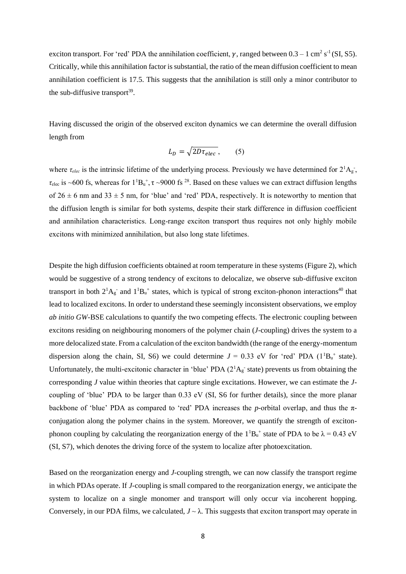exciton transport. For 'red' PDA the annihilation coefficient,  $\gamma$ , ranged between  $0.3 - 1 \text{ cm}^2 \text{ s}^{-1}$ (SI, S5). Critically, while this annihilation factor is substantial, the ratio of the mean diffusion coefficient to mean annihilation coefficient is 17.5. This suggests that the annihilation is still only a minor contributor to the sub-diffusive transport $39$ .

Having discussed the origin of the observed exciton dynamics we can determine the overall diffusion length from

$$
L_D = \sqrt{2D\tau_{elec}},\qquad(5)
$$

where  $\tau_{elec}$  is the intrinsic lifetime of the underlying process. Previously we have determined for  $2^1A_g$ ,  $\tau_{\text{elec}}$  is ~600 fs, whereas for  $1^1B_u^+$ ,  $\tau$  ~9000 fs <sup>28</sup>. Based on these values we can extract diffusion lengths of  $26 \pm 6$  nm and  $33 \pm 5$  nm, for 'blue' and 'red' PDA, respectively. It is noteworthy to mention that the diffusion length is similar for both systems, despite their stark difference in diffusion coefficient and annihilation characteristics. Long-range exciton transport thus requires not only highly mobile excitons with minimized annihilation, but also long state lifetimes.

Despite the high diffusion coefficients obtained at room temperature in these systems (Figure 2), which would be suggestive of a strong tendency of excitons to delocalize, we observe sub-diffusive exciton transport in both  $2^1A_g$  and  $1^1B_u$ <sup>+</sup> states, which is typical of strong exciton-phonon interactions<sup>40</sup> that lead to localized excitons. In order to understand these seemingly inconsistent observations, we employ *ab initio GW*-BSE calculations to quantify the two competing effects. The electronic coupling between excitons residing on neighbouring monomers of the polymer chain (*J*-coupling) drives the system to a more delocalized state. From a calculation of the exciton bandwidth (the range of the energy-momentum dispersion along the chain, SI, S6) we could determine  $J = 0.33$  eV for 'red' PDA ( $1^1B_u^+$  state). Unfortunately, the multi-excitonic character in 'blue' PDA  $(2^1A_g^-$  state) prevents us from obtaining the corresponding *J* value within theories that capture single excitations. However, we can estimate the *J*coupling of 'blue' PDA to be larger than 0.33 eV (SI, S6 for further details), since the more planar backbone of 'blue' PDA as compared to 'red' PDA increases the *p*-orbital overlap, and thus the πconjugation along the polymer chains in the system. Moreover, we quantify the strength of excitonphonon coupling by calculating the reorganization energy of the  $1^1B_u^+$  state of PDA to be  $\lambda = 0.43$  eV (SI, S7), which denotes the driving force of the system to localize after photoexcitation.

Based on the reorganization energy and *J*-coupling strength, we can now classify the transport regime in which PDAs operate. If *J*-coupling is small compared to the reorganization energy, we anticipate the system to localize on a single monomer and transport will only occur via incoherent hopping. Conversely, in our PDA films, we calculated,  $J \sim \lambda$ . This suggests that exciton transport may operate in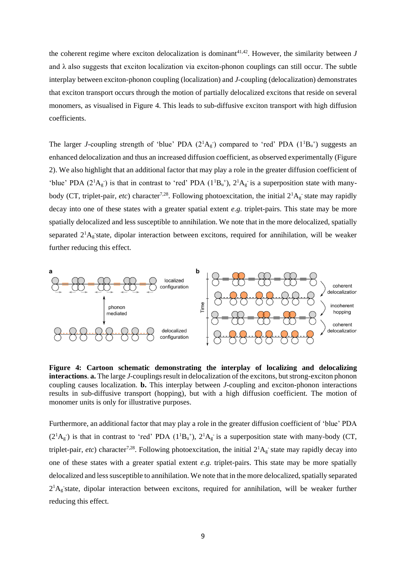the coherent regime where exciton delocalization is dominant<sup>41,42</sup>. However, the similarity between  $J$ and  $\lambda$  also suggests that exciton localization via exciton-phonon couplings can still occur. The subtle interplay between exciton-phonon coupling (localization) and *J*-coupling (delocalization) demonstrates that exciton transport occurs through the motion of partially delocalized excitons that reside on several monomers, as visualised in Figure 4. This leads to sub-diffusive exciton transport with high diffusion coefficients.

The larger *J*-coupling strength of 'blue' PDA  $(2^1A_g)$  compared to 'red' PDA  $(1^1B_u^+)$  suggests an enhanced delocalization and thus an increased diffusion coefficient, as observed experimentally (Figure 2). We also highlight that an additional factor that may play a role in the greater diffusion coefficient of 'blue' PDA ( $2^1$ A<sub>g</sub>) is that in contrast to 'red' PDA ( $1^1$ B<sub>u</sub><sup>+</sup>),  $2^1$ A<sub>g</sub> is a superposition state with manybody (CT, triplet-pair, *etc*) character<sup>7,28</sup>. Following photoexcitation, the initial  $2^1A_g$  state may rapidly decay into one of these states with a greater spatial extent *e.g.* triplet-pairs. This state may be more spatially delocalized and less susceptible to annihilation. We note that in the more delocalized, spatially separated  $2^1$ Ag state, dipolar interaction between excitons, required for annihilation, will be weaker further reducing this effect.



**Figure 4: Cartoon schematic demonstrating the interplay of localizing and delocalizing interactions**. **a.** The large *J*-couplings result in delocalization of the excitons, but strong-exciton phonon coupling causes localization. **b.** This interplay between *J*-coupling and exciton-phonon interactions results in sub-diffusive transport (hopping), but with a high diffusion coefficient. The motion of monomer units is only for illustrative purposes.

Furthermore, an additional factor that may play a role in the greater diffusion coefficient of 'blue' PDA  $(2<sup>1</sup>A<sub>g</sub>)$  is that in contrast to 'red' PDA  $(1<sup>1</sup>B<sub>u</sub><sup>+</sup>)$ ,  $2<sup>1</sup>A<sub>g</sub>$  is a superposition state with many-body (CT, triplet-pair, *etc*) character<sup>7,28</sup>. Following photoexcitation, the initial  $2^1A_g$  state may rapidly decay into one of these states with a greater spatial extent *e.g.* triplet-pairs. This state may be more spatially delocalized and less susceptible to annihilation. We note that in the more delocalized, spatially separated  $2<sup>1</sup>A<sub>g</sub>$  state, dipolar interaction between excitons, required for annihilation, will be weaker further reducing this effect.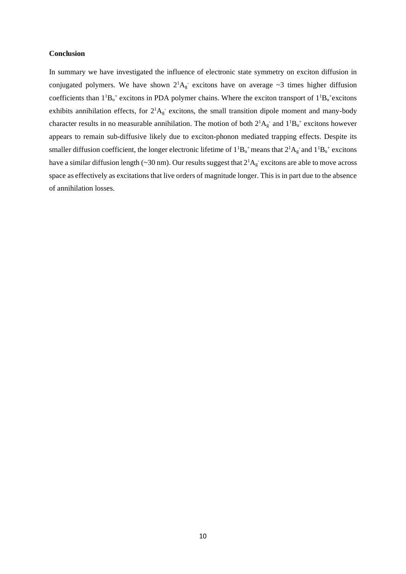## **Conclusion**

In summary we have investigated the influence of electronic state symmetry on exciton diffusion in conjugated polymers. We have shown  $2^1A_g$  excitons have on average ~3 times higher diffusion coefficients than  $1^1B_u^+$  excitons in PDA polymer chains. Where the exciton transport of  $1^1B_u^+$  excitons exhibits annihilation effects, for  $2^1A_g$  excitons, the small transition dipole moment and many-body character results in no measurable annihilation. The motion of both  $2^1A_g^-$  and  $1^1B_u^+$  excitons however appears to remain sub-diffusive likely due to exciton-phonon mediated trapping effects. Despite its smaller diffusion coefficient, the longer electronic lifetime of  $1^1B_u^+$  means that  $2^1A_g^-$  and  $1^1B_u^+$  excitons have a similar diffusion length ( $\sim$ 30 nm). Our results suggest that  $2^1A_g$  excitons are able to move across space as effectively as excitations that live orders of magnitude longer. This is in part due to the absence of annihilation losses.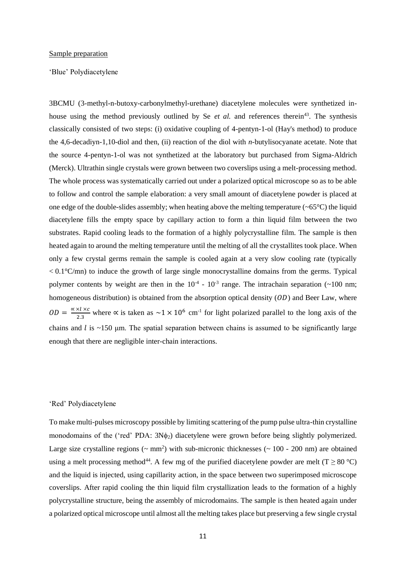#### Sample preparation

'Blue' Polydiacetylene

3BCMU (3-methyl-n-butoxy-carbonylmethyl-urethane) diacetylene molecules were synthetized inhouse using the method previously outlined by Se *et al.* and references therein<sup>43</sup>. The synthesis classically consisted of two steps: (i) oxidative coupling of 4-pentyn-1-ol (Hay's method) to produce the 4,6-decadiyn-1,10-diol and then, (ii) reaction of the diol with *n*-butylisocyanate acetate. Note that the source 4-pentyn-1-ol was not synthetized at the laboratory but purchased from Sigma-Aldrich (Merck). Ultrathin single crystals were grown between two coverslips using a melt-processing method. The whole process was systematically carried out under a polarized optical microscope so as to be able to follow and control the sample elaboration: a very small amount of diacetylene powder is placed at one edge of the double-slides assembly; when heating above the melting temperature  $(-65^{\circ}C)$  the liquid diacetylene fills the empty space by capillary action to form a thin liquid film between the two substrates. Rapid cooling leads to the formation of a highly polycrystalline film. The sample is then heated again to around the melting temperature until the melting of all the crystallites took place. When only a few crystal germs remain the sample is cooled again at a very slow cooling rate (typically  $< 0.1\degree$ C/mn) to induce the growth of large single monocrystalline domains from the germs. Typical polymer contents by weight are then in the  $10^{-4}$  -  $10^{-3}$  range. The intrachain separation (~100 nm; homogeneous distribution) is obtained from the absorption optical density  $(OD)$  and Beer Law, where  $OD = \frac{\alpha \times l \times c}{2a}$  $\frac{\lambda x}{2.3}$  where  $\alpha$  is taken as  $\sim 1 \times 10^6$  cm<sup>-1</sup> for light polarized parallel to the long axis of the chains and  $l$  is ~150 µm. The spatial separation between chains is assumed to be significantly large enough that there are negligible inter-chain interactions.

#### 'Red' Polydiacetylene

To make multi-pulses microscopy possible by limiting scattering of the pump pulse ultra-thin crystalline monodomains of the ('red' PDA:  $3N\phi_2$ ) diacetylene were grown before being slightly polymerized. Large size crystalline regions ( $\sim$  mm<sup>2</sup>) with sub-micronic thicknesses ( $\sim$  100 - 200 nm) are obtained using a melt processing method<sup>44</sup>. A few mg of the purified diacetylene powder are melt (T  $\geq$  80 °C) and the liquid is injected, using capillarity action, in the space between two superimposed microscope coverslips. After rapid cooling the thin liquid film crystallization leads to the formation of a highly polycrystalline structure, being the assembly of microdomains. The sample is then heated again under a polarized optical microscope until almost all the melting takes place but preserving a few single crystal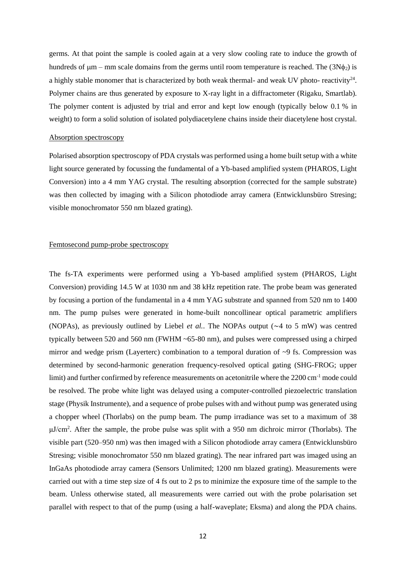germs. At that point the sample is cooled again at a very slow cooling rate to induce the growth of hundreds of  $\mu$ m – mm scale domains from the germs until room temperature is reached. The (3N $\phi$ ) is a highly stable monomer that is characterized by both weak thermal- and weak UV photo- reactivity<sup>24</sup>. Polymer chains are thus generated by exposure to X-ray light in a diffractometer (Rigaku, Smartlab). The polymer content is adjusted by trial and error and kept low enough (typically below 0.1 % in weight) to form a solid solution of isolated polydiacetylene chains inside their diacetylene host crystal.

#### Absorption spectroscopy

Polarised absorption spectroscopy of PDA crystals was performed using a home built setup with a white light source generated by focussing the fundamental of a Yb-based amplified system (PHAROS, Light Conversion) into a 4 mm YAG crystal. The resulting absorption (corrected for the sample substrate) was then collected by imaging with a Silicon photodiode array camera (Entwicklunsbüro Stresing; visible monochromator 550 nm blazed grating).

## Femtosecond pump-probe spectroscopy

The fs-TA experiments were performed using a Yb-based amplified system (PHAROS, Light Conversion) providing 14.5 W at 1030 nm and 38 kHz repetition rate. The probe beam was generated by focusing a portion of the fundamental in a 4 mm YAG substrate and spanned from 520 nm to 1400 nm. The pump pulses were generated in home-built noncollinear optical parametric amplifiers (NOPAs), as previously outlined by Liebel *et al.*. The NOPAs output (∼4 to 5 mW) was centred typically between 520 and 560 nm (FWHM ~65-80 nm), and pulses were compressed using a chirped mirror and wedge prism (Layerterc) combination to a temporal duration of  $\sim$ 9 fs. Compression was determined by second-harmonic generation frequency-resolved optical gating (SHG-FROG; upper limit) and further confirmed by reference measurements on acetonitrile where the 2200 cm<sup>-1</sup> mode could be resolved. The probe white light was delayed using a computer-controlled piezoelectric translation stage (Physik Instrumente), and a sequence of probe pulses with and without pump was generated using a chopper wheel (Thorlabs) on the pump beam. The pump irradiance was set to a maximum of 38 μJ/cm<sup>2</sup> . After the sample, the probe pulse was split with a 950 nm dichroic mirror (Thorlabs). The visible part (520–950 nm) was then imaged with a Silicon photodiode array camera (Entwicklunsbüro Stresing; visible monochromator 550 nm blazed grating). The near infrared part was imaged using an InGaAs photodiode array camera (Sensors Unlimited; 1200 nm blazed grating). Measurements were carried out with a time step size of 4 fs out to 2 ps to minimize the exposure time of the sample to the beam. Unless otherwise stated, all measurements were carried out with the probe polarisation set parallel with respect to that of the pump (using a half-waveplate; Eksma) and along the PDA chains.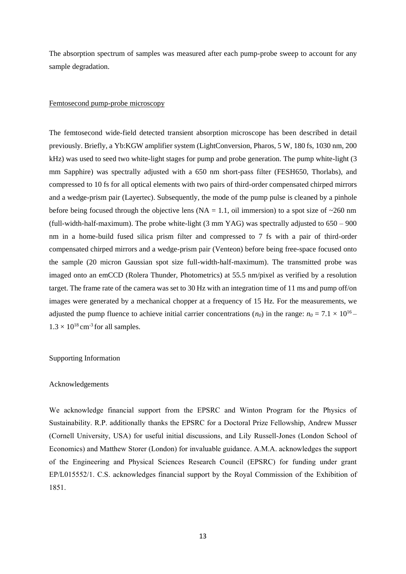The absorption spectrum of samples was measured after each pump-probe sweep to account for any sample degradation.

### Femtosecond pump-probe microscopy

The femtosecond wide-field detected transient absorption microscope has been described in detail previously. Briefly, a Yb:KGW amplifier system (LightConversion, Pharos, 5 W, 180 fs, 1030 nm, 200 kHz) was used to seed two white-light stages for pump and probe generation. The pump white-light (3 mm Sapphire) was spectrally adjusted with a 650 nm short-pass filter (FESH650, Thorlabs), and compressed to 10 fs for all optical elements with two pairs of third-order compensated chirped mirrors and a wedge-prism pair (Layertec). Subsequently, the mode of the pump pulse is cleaned by a pinhole before being focused through the objective lens ( $NA = 1.1$ , oil immersion) to a spot size of ~260 nm (full-width-half-maximum). The probe white-light (3 mm YAG) was spectrally adjusted to 650 – 900 nm in a home-build fused silica prism filter and compressed to 7 fs with a pair of third-order compensated chirped mirrors and a wedge-prism pair (Venteon) before being free-space focused onto the sample (20 micron Gaussian spot size full-width-half-maximum). The transmitted probe was imaged onto an emCCD (Rolera Thunder, Photometrics) at 55.5 nm/pixel as verified by a resolution target. The frame rate of the camera was set to 30 Hz with an integration time of 11 ms and pump off/on images were generated by a mechanical chopper at a frequency of 15 Hz. For the measurements, we adjusted the pump fluence to achieve initial carrier concentrations  $(n_0)$  in the range:  $n_0 = 7.1 \times 10^{16}$  $1.3 \times 10^{18}$  cm<sup>-3</sup> for all samples.

#### Supporting Information

#### Acknowledgements

We acknowledge financial support from the EPSRC and Winton Program for the Physics of Sustainability. R.P. additionally thanks the EPSRC for a Doctoral Prize Fellowship, Andrew Musser (Cornell University, USA) for useful initial discussions, and Lily Russell-Jones (London School of Economics) and Matthew Storer (London) for invaluable guidance. A.M.A. acknowledges the support of the Engineering and Physical Sciences Research Council (EPSRC) for funding under grant EP/L015552/1. C.S. acknowledges financial support by the Royal Commission of the Exhibition of 1851.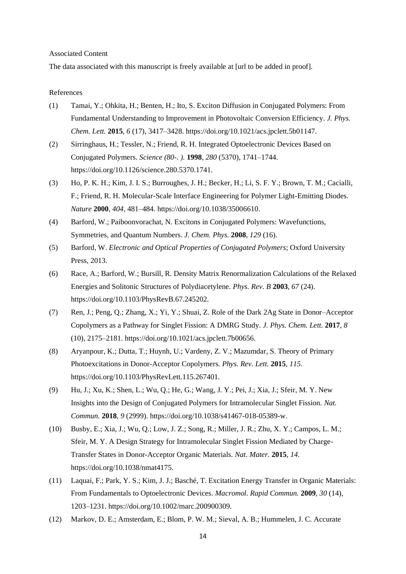### Associated Content

The data associated with this manuscript is freely available at [url to be added in proof].

#### References

- (1) Tamai, Y.; Ohkita, H.; Benten, H.; Ito, S. Exciton Diffusion in Conjugated Polymers: From Fundamental Understanding to Improvement in Photovoltaic Conversion Efficiency. *J. Phys. Chem. Lett.* **2015**, *6* (17), 3417–3428. https://doi.org/10.1021/acs.jpclett.5b01147.
- (2) Sirringhaus, H.; Tessler, N.; Friend, R. H. Integrated Optoelectronic Devices Based on Conjugated Polymers. *Science (80-. ).* **1998**, *280* (5370), 1741–1744. https://doi.org/10.1126/science.280.5370.1741.
- (3) Ho, P. K. H.; Kim, J. I. S.; Burroughes, J. H.; Becker, H.; Li, S. F. Y.; Brown, T. M.; Cacialli, F.; Friend, R. H. Molecular-Scale Interface Engineering for Polymer Light-Emitting Diodes. *Nature* **2000**, *404*, 481–484. https://doi.org/10.1038/35006610.
- (4) Barford, W.; Paiboonvorachat, N. Excitons in Conjugated Polymers: Wavefunctions, Symmetries, and Quantum Numbers. *J. Chem. Phys.* **2008**, *129* (16).
- (5) Barford, W. *Electronic and Optical Properties of Conjugated Polymers*; Oxford University Press, 2013.
- (6) Race, A.; Barford, W.; Bursill, R. Density Matrix Renormalization Calculations of the Relaxed Energies and Solitonic Structures of Polydiacetylene. *Phys. Rev. B* **2003**, *67* (24). https://doi.org/10.1103/PhysRevB.67.245202.
- (7) Ren, J.; Peng, Q.; Zhang, X.; Yi, Y.; Shuai, Z. Role of the Dark 2Ag State in Donor–Acceptor Copolymers as a Pathway for Singlet Fission: A DMRG Study. *J. Phys. Chem. Lett.* **2017**, *8* (10), 2175–2181. https://doi.org/10.1021/acs.jpclett.7b00656.
- (8) Aryanpour, K.; Dutta, T.; Huynh, U.; Vardeny, Z. V.; Mazumdar, S. Theory of Primary Photoexcitations in Donor-Acceptor Copolymers. *Phys. Rev. Lett.* **2015**, *115*. https://doi.org/10.1103/PhysRevLett.115.267401.
- (9) Hu, J.; Xu, K.; Shen, L.; Wu, Q.; He, G.; Wang, J. Y.; Pei, J.; Xia, J.; Sfeir, M. Y. New Insights into the Design of Conjugated Polymers for Intramolecular Singlet Fission. *Nat. Commun.* **2018**, *9* (2999). https://doi.org/10.1038/s41467-018-05389-w.
- (10) Busby, E.; Xia, J.; Wu, Q.; Low, J. Z.; Song, R.; Miller, J. R.; Zhu, X. Y.; Campos, L. M.; Sfeir, M. Y. A Design Strategy for Intramolecular Singlet Fission Mediated by Charge-Transfer States in Donor-Acceptor Organic Materials. *Nat. Mater.* **2015**, *14*. https://doi.org/10.1038/nmat4175.
- (11) Laquai, F.; Park, Y. S.; Kim, J. J.; Basché, T. Excitation Energy Transfer in Organic Materials: From Fundamentals to Optoelectronic Devices. *Macromol. Rapid Commun.* **2009**, *30* (14), 1203–1231. https://doi.org/10.1002/marc.200900309.
- (12) Markov, D. E.; Amsterdam, E.; Blom, P. W. M.; Sieval, A. B.; Hummelen, J. C. Accurate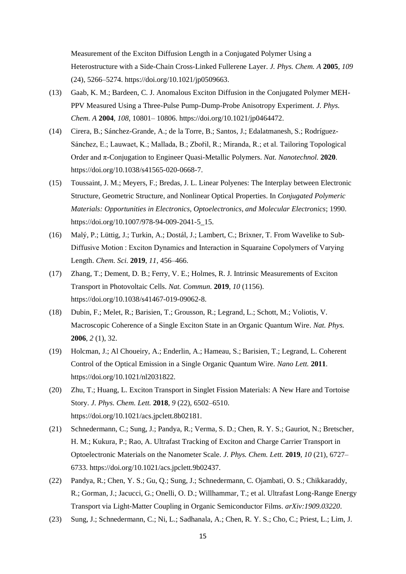Measurement of the Exciton Diffusion Length in a Conjugated Polymer Using a Heterostructure with a Side-Chain Cross-Linked Fullerene Layer. *J. Phys. Chem. A* **2005**, *109* (24), 5266–5274. https://doi.org/10.1021/jp0509663.

- (13) Gaab, K. M.; Bardeen, C. J. Anomalous Exciton Diffusion in the Conjugated Polymer MEH-PPV Measured Using a Three-Pulse Pump-Dump-Probe Anisotropy Experiment. *J. Phys. Chem. A* **2004**, *108*, 10801– 10806. https://doi.org/10.1021/jp0464472.
- (14) Cirera, B.; Sánchez-Grande, A.; de la Torre, B.; Santos, J.; Edalatmanesh, S.; Rodríguez-Sánchez, E.; Lauwaet, K.; Mallada, B.; Zbořil, R.; Miranda, R.; et al. Tailoring Topological Order and π-Conjugation to Engineer Quasi-Metallic Polymers. *Nat. Nanotechnol.* **2020**. https://doi.org/10.1038/s41565-020-0668-7.
- (15) Toussaint, J. M.; Meyers, F.; Bredas, J. L. Linear Polyenes: The Interplay between Electronic Structure, Geometric Structure, and Nonlinear Optical Properties. In *Conjugated Polymeric Materials: Opportunities in Electronics, Optoelectronics, and Molecular Electronics*; 1990. https://doi.org/10.1007/978-94-009-2041-5\_15.
- (16) Malý, P.; Lüttig, J.; Turkin, A.; Dostál, J.; Lambert, C.; Brixner, T. From Wavelike to Sub-Diffusive Motion : Exciton Dynamics and Interaction in Squaraine Copolymers of Varying Length. *Chem. Sci.* **2019**, *11*, 456–466.
- (17) Zhang, T.; Dement, D. B.; Ferry, V. E.; Holmes, R. J. Intrinsic Measurements of Exciton Transport in Photovoltaic Cells. *Nat. Commun.* **2019**, *10* (1156). https://doi.org/10.1038/s41467-019-09062-8.
- (18) Dubin, F.; Melet, R.; Barisien, T.; Grousson, R.; Legrand, L.; Schott, M.; Voliotis, V. Macroscopic Coherence of a Single Exciton State in an Organic Quantum Wire. *Nat. Phys.* **2006**, *2* (1), 32.
- (19) Holcman, J.; Al Choueiry, A.; Enderlin, A.; Hameau, S.; Barisien, T.; Legrand, L. Coherent Control of the Optical Emission in a Single Organic Quantum Wire. *Nano Lett.* **2011**. https://doi.org/10.1021/nl2031822.
- (20) Zhu, T.; Huang, L. Exciton Transport in Singlet Fission Materials: A New Hare and Tortoise Story. *J. Phys. Chem. Lett.* **2018**, *9* (22), 6502–6510. https://doi.org/10.1021/acs.jpclett.8b02181.
- (21) Schnedermann, C.; Sung, J.; Pandya, R.; Verma, S. D.; Chen, R. Y. S.; Gauriot, N.; Bretscher, H. M.; Kukura, P.; Rao, A. Ultrafast Tracking of Exciton and Charge Carrier Transport in Optoelectronic Materials on the Nanometer Scale. *J. Phys. Chem. Lett.* **2019**, *10* (21), 6727– 6733. https://doi.org/10.1021/acs.jpclett.9b02437.
- (22) Pandya, R.; Chen, Y. S.; Gu, Q.; Sung, J.; Schnedermann, C. Ojambati, O. S.; Chikkaraddy, R.; Gorman, J.; Jacucci, G.; Onelli, O. D.; Willhammar, T.; et al. Ultrafast Long-Range Energy Transport via Light-Matter Coupling in Organic Semiconductor Films. *arXiv:1909.03220*.
- (23) Sung, J.; Schnedermann, C.; Ni, L.; Sadhanala, A.; Chen, R. Y. S.; Cho, C.; Priest, L.; Lim, J.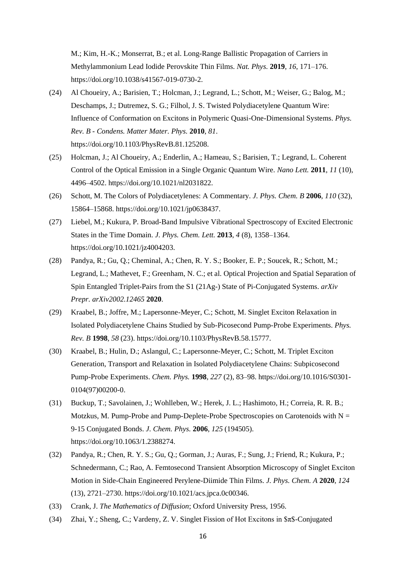M.; Kim, H.-K.; Monserrat, B.; et al. Long-Range Ballistic Propagation of Carriers in Methylammonium Lead Iodide Perovskite Thin Films. *Nat. Phys.* **2019**, *16*, 171–176. https://doi.org/10.1038/s41567-019-0730-2.

- (24) Al Choueiry, A.; Barisien, T.; Holcman, J.; Legrand, L.; Schott, M.; Weiser, G.; Balog, M.; Deschamps, J.; Dutremez, S. G.; Filhol, J. S. Twisted Polydiacetylene Quantum Wire: Influence of Conformation on Excitons in Polymeric Quasi-One-Dimensional Systems. *Phys. Rev. B - Condens. Matter Mater. Phys.* **2010**, *81*. https://doi.org/10.1103/PhysRevB.81.125208.
- (25) Holcman, J.; Al Choueiry, A.; Enderlin, A.; Hameau, S.; Barisien, T.; Legrand, L. Coherent Control of the Optical Emission in a Single Organic Quantum Wire. *Nano Lett.* **2011**, *11* (10), 4496–4502. https://doi.org/10.1021/nl2031822.
- (26) Schott, M. The Colors of Polydiacetylenes: A Commentary. *J. Phys. Chem. B* **2006**, *110* (32), 15864–15868. https://doi.org/10.1021/jp0638437.
- (27) Liebel, M.; Kukura, P. Broad-Band Impulsive Vibrational Spectroscopy of Excited Electronic States in the Time Domain. *J. Phys. Chem. Lett.* **2013**, *4* (8), 1358–1364. https://doi.org/10.1021/jz4004203.
- (28) Pandya, R.; Gu, Q.; Cheminal, A.; Chen, R. Y. S.; Booker, E. P.; Soucek, R.; Schott, M.; Legrand, L.; Mathevet, F.; Greenham, N. C.; et al. Optical Projection and Spatial Separation of Spin Entangled Triplet-Pairs from the S1 (21Ag-) State of Pi-Conjugated Systems. *arXiv Prepr. arXiv2002.12465* **2020**.
- (29) Kraabel, B.; Joffre, M.; Lapersonne-Meyer, C.; Schott, M. Singlet Exciton Relaxation in Isolated Polydiacetylene Chains Studied by Sub-Picosecond Pump-Probe Experiments. *Phys. Rev. B* **1998**, *58* (23). https://doi.org/10.1103/PhysRevB.58.15777.
- (30) Kraabel, B.; Hulin, D.; Aslangul, C.; Lapersonne-Meyer, C.; Schott, M. Triplet Exciton Generation, Transport and Relaxation in Isolated Polydiacetylene Chains: Subpicosecond Pump-Probe Experiments. *Chem. Phys.* **1998**, *227* (2), 83–98. https://doi.org/10.1016/S0301- 0104(97)00200-0.
- (31) Buckup, T.; Savolainen, J.; Wohlleben, W.; Herek, J. L.; Hashimoto, H.; Correia, R. R. B.; Motzkus, M. Pump-Probe and Pump-Deplete-Probe Spectroscopies on Carotenoids with  $N =$ 9-15 Conjugated Bonds. *J. Chem. Phys.* **2006**, *125* (194505). https://doi.org/10.1063/1.2388274.
- (32) Pandya, R.; Chen, R. Y. S.; Gu, Q.; Gorman, J.; Auras, F.; Sung, J.; Friend, R.; Kukura, P.; Schnedermann, C.; Rao, A. Femtosecond Transient Absorption Microscopy of Singlet Exciton Motion in Side-Chain Engineered Perylene-Diimide Thin Films. *J. Phys. Chem. A* **2020**, *124* (13), 2721–2730. https://doi.org/10.1021/acs.jpca.0c00346.
- (33) Crank, J. *The Mathematics of Diffusion*; Oxford University Press, 1956.
- (34) Zhai, Y.; Sheng, C.; Vardeny, Z. V. Singlet Fission of Hot Excitons in \$π\$-Conjugated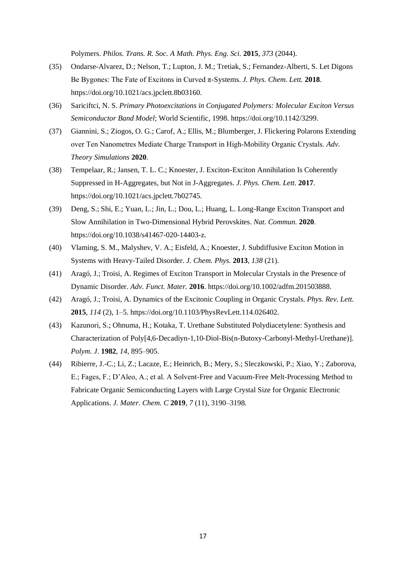Polymers. *Philos. Trans. R. Soc. A Math. Phys. Eng. Sci.* **2015**, *373* (2044).

- (35) Ondarse-Alvarez, D.; Nelson, T.; Lupton, J. M.; Tretiak, S.; Fernandez-Alberti, S. Let Digons Be Bygones: The Fate of Excitons in Curved π-Systems. *J. Phys. Chem. Lett.* **2018**. https://doi.org/10.1021/acs.jpclett.8b03160.
- (36) Sariciftci, N. S. *Primary Photoexcitations in Conjugated Polymers: Molecular Exciton Versus Semiconductor Band Model*; World Scientific, 1998. https://doi.org/10.1142/3299.
- (37) Giannini, S.; Ziogos, O. G.; Carof, A.; Ellis, M.; Blumberger, J. Flickering Polarons Extending over Ten Nanometres Mediate Charge Transport in High‐Mobility Organic Crystals. *Adv. Theory Simulations* **2020**.
- (38) Tempelaar, R.; Jansen, T. L. C.; Knoester, J. Exciton-Exciton Annihilation Is Coherently Suppressed in H-Aggregates, but Not in J-Aggregates. *J. Phys. Chem. Lett.* **2017**. https://doi.org/10.1021/acs.jpclett.7b02745.
- (39) Deng, S.; Shi, E.; Yuan, L.; Jin, L.; Dou, L.; Huang, L. Long-Range Exciton Transport and Slow Annihilation in Two-Dimensional Hybrid Perovskites. *Nat. Commun.* **2020**. https://doi.org/10.1038/s41467-020-14403-z.
- (40) Vlaming, S. M., Malyshev, V. A.; Eisfeld, A.; Knoester, J. Subdiffusive Exciton Motion in Systems with Heavy-Tailed Disorder. *J. Chem. Phys.* **2013**, *138* (21).
- (41) Aragó, J.; Troisi, A. Regimes of Exciton Transport in Molecular Crystals in the Presence of Dynamic Disorder. *Adv. Funct. Mater.* **2016**. https://doi.org/10.1002/adfm.201503888.
- (42) Aragó, J.; Troisi, A. Dynamics of the Excitonic Coupling in Organic Crystals. *Phys. Rev. Lett.* **2015**, *114* (2), 1–5. https://doi.org/10.1103/PhysRevLett.114.026402.
- (43) Kazunori, S.; Ohnuma, H.; Kotaka, T. Urethane Substituted Polydiacetylene: Synthesis and Characterization of Poly[4,6-Decadiyn-1,10-Diol-Bis(n-Butoxy-Carbonyl-Methyl-Urethane)]. *Polym. J.* **1982**, *14*, 895–905.
- (44) Ribierre, J.-C.; Li, Z.; Lacaze, E.; Heinrich, B.; Mery, S.; Sleczkowski, P.; Xiao, Y.; Zaborova, E.; Fages, F.; D'Aleo, A.; et al. A Solvent-Free and Vacuum-Free Melt-Processing Method to Fabricate Organic Semiconducting Layers with Large Crystal Size for Organic Electronic Applications. *J. Mater. Chem. C* **2019**, *7* (11), 3190–3198.